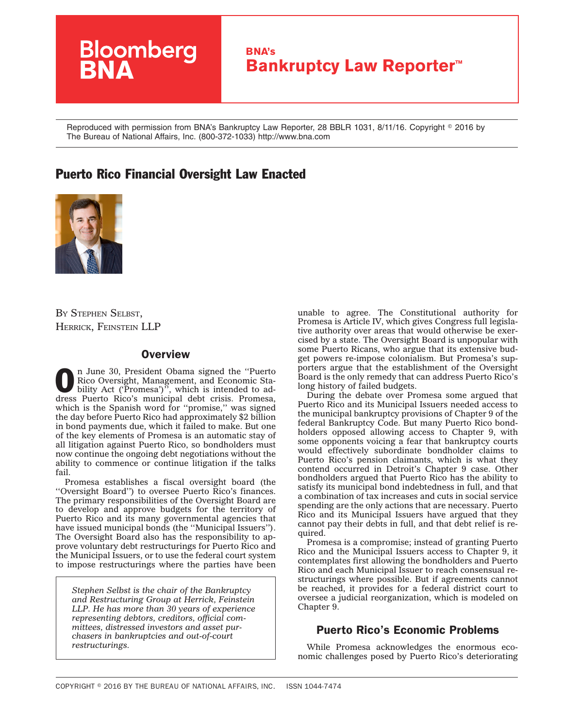

Reproduced with permission from BNA's Bankruptcy Law Reporter, 28 BBLR 1031, 8/11/16. Copyright © 2016 by The Bureau of National Affairs, Inc. (800-372-1033) http://www.bna.com

# Puerto Rico Financial Oversight Law Enacted



BY STEPHEN SELBST, [HERRICK, FEINSTEIN](http://www.herrick.com/) LLP

## **Overview**

**O** n June 30, President Obama signed the "Puerto"<br>Rico Oversight, Management, and Economic Stability Act ('Promesa')", which is intended to ad-Rico Oversight, Management, and Economic Stadress Puerto Rico's municipal debt crisis. Promesa, which is the Spanish word for "promise," was signed the day before Puerto Rico had approximately \$2 billion in bond payments due, which it failed to make. But one of the key elements of Promesa is an automatic stay of all litigation against Puerto Rico, so bondholders must now continue the ongoing debt negotiations without the ability to commence or continue litigation if the talks fail.

Promesa establishes a fiscal oversight board (the ''Oversight Board'') to oversee Puerto Rico's finances. The primary responsibilities of the Oversight Board are to develop and approve budgets for the territory of Puerto Rico and its many governmental agencies that have issued municipal bonds (the ''Municipal Issuers''). The Oversight Board also has the responsibility to approve voluntary debt restructurings for Puerto Rico and the Municipal Issuers, or to use the federal court system to impose restructurings where the parties have been

*Stephen Selbst is the chair of the Bankruptcy and Restructuring Group at Herrick, Feinstein LLP. He has more than 30 years of experience representing debtors, creditors, official committees, distressed investors and asset purchasers in bankruptcies and out-of-court restructurings.*

unable to agree. The Constitutional authority for Promesa is Article IV, which gives Congress full legislative authority over areas that would otherwise be exercised by a state. The Oversight Board is unpopular with some Puerto Ricans, who argue that its extensive budget powers re-impose colonialism. But Promesa's supporters argue that the establishment of the Oversight Board is the only remedy that can address Puerto Rico's long history of failed budgets.

During the debate over Promesa some argued that Puerto Rico and its Municipal Issuers needed access to the municipal bankruptcy provisions of Chapter 9 of the federal Bankruptcy Code. But many Puerto Rico bondholders opposed allowing access to Chapter 9, with some opponents voicing a fear that bankruptcy courts would effectively subordinate bondholder claims to Puerto Rico's pension claimants, which is what they contend occurred in Detroit's Chapter 9 case. Other bondholders argued that Puerto Rico has the ability to satisfy its municipal bond indebtedness in full, and that a combination of tax increases and cuts in social service spending are the only actions that are necessary. Puerto Rico and its Municipal Issuers have argued that they cannot pay their debts in full, and that debt relief is required.

Promesa is a compromise; instead of granting Puerto Rico and the Municipal Issuers access to Chapter 9, it contemplates first allowing the bondholders and Puerto Rico and each Municipal Issuer to reach consensual restructurings where possible. But if agreements cannot be reached, it provides for a federal district court to oversee a judicial reorganization, which is modeled on Chapter 9.

## Puerto Rico's Economic Problems

While Promesa acknowledges the enormous economic challenges posed by Puerto Rico's deteriorating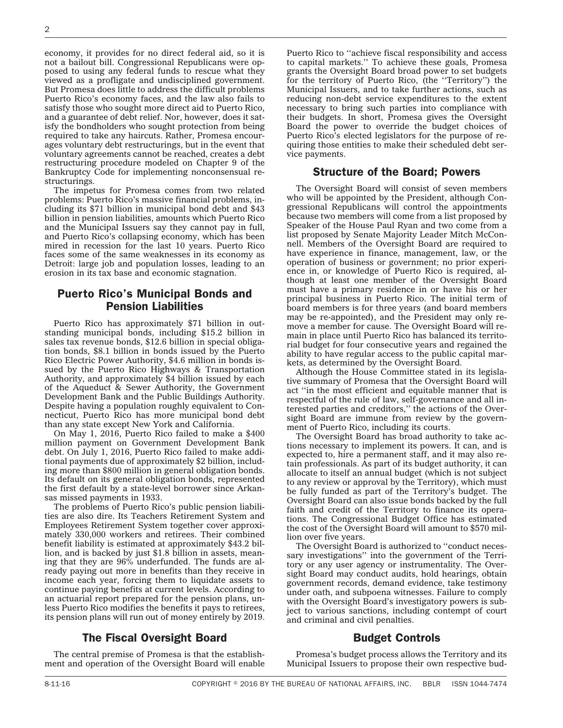economy, it provides for no direct federal aid, so it is not a bailout bill. Congressional Republicans were opposed to using any federal funds to rescue what they viewed as a profligate and undisciplined government. But Promesa does little to address the difficult problems Puerto Rico's economy faces, and the law also fails to satisfy those who sought more direct aid to Puerto Rico, and a guarantee of debt relief. Nor, however, does it satisfy the bondholders who sought protection from being required to take any haircuts. Rather, Promesa encourages voluntary debt restructurings, but in the event that voluntary agreements cannot be reached, creates a debt restructuring procedure modeled on Chapter 9 of the Bankruptcy Code for implementing nonconsensual restructurings.

The impetus for Promesa comes from two related problems: Puerto Rico's massive financial problems, including its \$71 billion in municipal bond debt and \$43 billion in pension liabilities, amounts which Puerto Rico and the Municipal Issuers say they cannot pay in full, and Puerto Rico's collapsing economy, which has been mired in recession for the last 10 years. Puerto Rico faces some of the same weaknesses in its economy as Detroit: large job and population losses, leading to an erosion in its tax base and economic stagnation.

## Puerto Rico's Municipal Bonds and Pension Liabilities

Puerto Rico has approximately \$71 billion in outstanding municipal bonds, including \$15.2 billion in sales tax revenue bonds, \$12.6 billion in special obligation bonds, \$8.1 billion in bonds issued by the Puerto Rico Electric Power Authority, \$4.6 million in bonds issued by the Puerto Rico Highways & Transportation Authority, and approximately \$4 billion issued by each of the Aqueduct & Sewer Authority, the Government Development Bank and the Public Buildings Authority. Despite having a population roughly equivalent to Connecticut, Puerto Rico has more municipal bond debt than any state except New York and California.

On May 1, 2016, Puerto Rico failed to make a \$400 million payment on Government Development Bank debt. On July 1, 2016, Puerto Rico failed to make additional payments due of approximately \$2 billion, including more than \$800 million in general obligation bonds. Its default on its general obligation bonds, represented the first default by a state-level borrower since Arkansas missed payments in 1933.

The problems of Puerto Rico's public pension liabilities are also dire. Its Teachers Retirement System and Employees Retirement System together cover approximately 330,000 workers and retirees. Their combined benefit liability is estimated at approximately \$43.2 billion, and is backed by just \$1.8 billion in assets, meaning that they are 96% underfunded. The funds are already paying out more in benefits than they receive in income each year, forcing them to liquidate assets to continue paying benefits at current levels. According to an actuarial report prepared for the pension plans, unless Puerto Rico modifies the benefits it pays to retirees, its pension plans will run out of money entirely by 2019.

## The Fiscal Oversight Board

The central premise of Promesa is that the establishment and operation of the Oversight Board will enable Puerto Rico to ''achieve fiscal responsibility and access to capital markets.'' To achieve these goals, Promesa grants the Oversight Board broad power to set budgets for the territory of Puerto Rico, (the ''Territory'') the Municipal Issuers, and to take further actions, such as reducing non-debt service expenditures to the extent necessary to bring such parties into compliance with their budgets. In short, Promesa gives the Oversight Board the power to override the budget choices of Puerto Rico's elected legislators for the purpose of requiring those entities to make their scheduled debt service payments.

#### Structure of the Board; Powers

The Oversight Board will consist of seven members who will be appointed by the President, although Congressional Republicans will control the appointments because two members will come from a list proposed by Speaker of the House Paul Ryan and two come from a list proposed by Senate Majority Leader Mitch McConnell. Members of the Oversight Board are required to have experience in finance, management, law, or the operation of business or government; no prior experience in, or knowledge of Puerto Rico is required, although at least one member of the Oversight Board must have a primary residence in or have his or her principal business in Puerto Rico. The initial term of board members is for three years (and board members may be re-appointed), and the President may only remove a member for cause. The Oversight Board will remain in place until Puerto Rico has balanced its territorial budget for four consecutive years and regained the ability to have regular access to the public capital markets, as determined by the Oversight Board.

Although the House Committee stated in its legislative summary of Promesa that the Oversight Board will act ''in the most efficient and equitable manner that is respectful of the rule of law, self-governance and all interested parties and creditors,'' the actions of the Oversight Board are immune from review by the government of Puerto Rico, including its courts.

The Oversight Board has broad authority to take actions necessary to implement its powers. It can, and is expected to, hire a permanent staff, and it may also retain professionals. As part of its budget authority, it can allocate to itself an annual budget (which is not subject to any review or approval by the Territory), which must be fully funded as part of the Territory's budget. The Oversight Board can also issue bonds backed by the full faith and credit of the Territory to finance its operations. The Congressional Budget Office has estimated the cost of the Oversight Board will amount to \$570 million over five years.

The Oversight Board is authorized to ''conduct necessary investigations'' into the government of the Territory or any user agency or instrumentality. The Oversight Board may conduct audits, hold hearings, obtain government records, demand evidence, take testimony under oath, and subpoena witnesses. Failure to comply with the Oversight Board's investigatory powers is subject to various sanctions, including contempt of court and criminal and civil penalties.

#### Budget Controls

Promesa's budget process allows the Territory and its Municipal Issuers to propose their own respective bud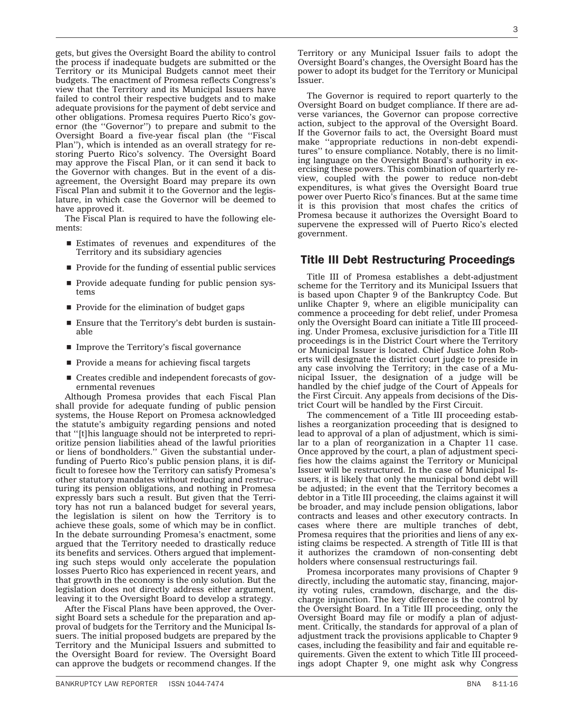gets, but gives the Oversight Board the ability to control the process if inadequate budgets are submitted or the Territory or its Municipal Budgets cannot meet their budgets. The enactment of Promesa reflects Congress's view that the Territory and its Municipal Issuers have failed to control their respective budgets and to make adequate provisions for the payment of debt service and other obligations. Promesa requires Puerto Rico's governor (the ''Governor'') to prepare and submit to the Oversight Board a five-year fiscal plan (the ''Fiscal Plan''), which is intended as an overall strategy for restoring Puerto Rico's solvency. The Oversight Board may approve the Fiscal Plan, or it can send it back to the Governor with changes. But in the event of a disagreement, the Oversight Board may prepare its own Fiscal Plan and submit it to the Governor and the legislature, in which case the Governor will be deemed to have approved it.

The Fiscal Plan is required to have the following elements:

- $\blacksquare$  Estimates of revenues and expenditures of the Territory and its subsidiary agencies
- $\blacksquare$  Provide for the funding of essential public services
- **Provide adequate funding for public pension sys**tems
- **Provide for the elimination of budget gaps**
- $\blacksquare$  Ensure that the Territory's debt burden is sustainable
- Improve the Territory's fiscal governance
- $\blacksquare$  Provide a means for achieving fiscal targets
- $\blacksquare$  Creates credible and independent forecasts of governmental revenues

Although Promesa provides that each Fiscal Plan shall provide for adequate funding of public pension systems, the House Report on Promesa acknowledged the statute's ambiguity regarding pensions and noted that ''[t]his language should not be interpreted to reprioritize pension liabilities ahead of the lawful priorities or liens of bondholders.'' Given the substantial underfunding of Puerto Rico's public pension plans, it is difficult to foresee how the Territory can satisfy Promesa's other statutory mandates without reducing and restructuring its pension obligations, and nothing in Promesa expressly bars such a result. But given that the Territory has not run a balanced budget for several years, the legislation is silent on how the Territory is to achieve these goals, some of which may be in conflict. In the debate surrounding Promesa's enactment, some argued that the Territory needed to drastically reduce its benefits and services. Others argued that implementing such steps would only accelerate the population losses Puerto Rico has experienced in recent years, and that growth in the economy is the only solution. But the legislation does not directly address either argument, leaving it to the Oversight Board to develop a strategy.

After the Fiscal Plans have been approved, the Oversight Board sets a schedule for the preparation and approval of budgets for the Territory and the Municipal Issuers. The initial proposed budgets are prepared by the Territory and the Municipal Issuers and submitted to the Oversight Board for review. The Oversight Board can approve the budgets or recommend changes. If the

Territory or any Municipal Issuer fails to adopt the Oversight Board's changes, the Oversight Board has the power to adopt its budget for the Territory or Municipal Issuer.

The Governor is required to report quarterly to the Oversight Board on budget compliance. If there are adverse variances, the Governor can propose corrective action, subject to the approval of the Oversight Board. If the Governor fails to act, the Oversight Board must make ''appropriate reductions in non-debt expenditures'' to ensure compliance. Notably, there is no limiting language on the Oversight Board's authority in exercising these powers. This combination of quarterly review, coupled with the power to reduce non-debt expenditures, is what gives the Oversight Board true power over Puerto Rico's finances. But at the same time it is this provision that most chafes the critics of Promesa because it authorizes the Oversight Board to supervene the expressed will of Puerto Rico's elected government.

## Title III Debt Restructuring Proceedings

Title III of Promesa establishes a debt-adjustment scheme for the Territory and its Municipal Issuers that is based upon Chapter 9 of the Bankruptcy Code. But unlike Chapter 9, where an eligible municipality can commence a proceeding for debt relief, under Promesa only the Oversight Board can initiate a Title III proceeding. Under Promesa, exclusive jurisdiction for a Title III proceedings is in the District Court where the Territory or Municipal Issuer is located. Chief Justice John Roberts will designate the district court judge to preside in any case involving the Territory; in the case of a Municipal Issuer, the designation of a judge will be handled by the chief judge of the Court of Appeals for the First Circuit. Any appeals from decisions of the District Court will be handled by the First Circuit.

The commencement of a Title III proceeding establishes a reorganization proceeding that is designed to lead to approval of a plan of adjustment, which is similar to a plan of reorganization in a Chapter 11 case. Once approved by the court, a plan of adjustment specifies how the claims against the Territory or Municipal Issuer will be restructured. In the case of Municipal Issuers, it is likely that only the municipal bond debt will be adjusted; in the event that the Territory becomes a debtor in a Title III proceeding, the claims against it will be broader, and may include pension obligations, labor contracts and leases and other executory contracts. In cases where there are multiple tranches of debt, Promesa requires that the priorities and liens of any existing claims be respected. A strength of Title III is that it authorizes the cramdown of non-consenting debt holders where consensual restructurings fail.

Promesa incorporates many provisions of Chapter 9 directly, including the automatic stay, financing, majority voting rules, cramdown, discharge, and the discharge injunction. The key difference is the control by the Oversight Board. In a Title III proceeding, only the Oversight Board may file or modify a plan of adjustment. Critically, the standards for approval of a plan of adjustment track the provisions applicable to Chapter 9 cases, including the feasibility and fair and equitable requirements. Given the extent to which Title III proceedings adopt Chapter 9, one might ask why Congress